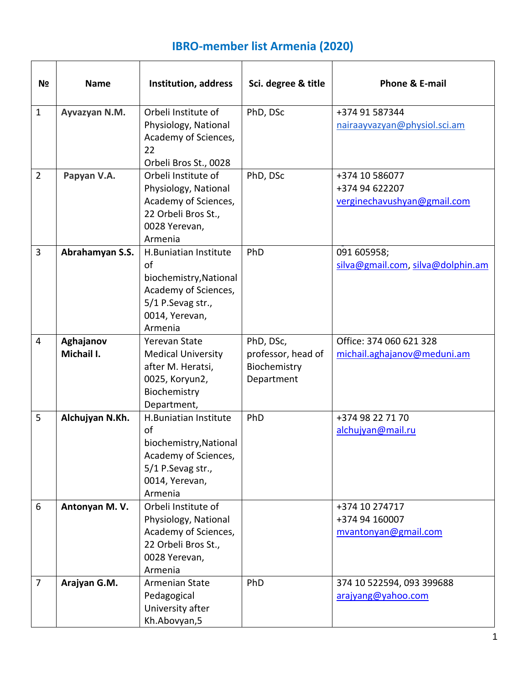## **IBRO-member list Armenia (2020)**

| N <sub>2</sub> | <b>Name</b>             | Institution, address                                                                                                            | Sci. degree & title                                           | Phone & E-mail                                                  |
|----------------|-------------------------|---------------------------------------------------------------------------------------------------------------------------------|---------------------------------------------------------------|-----------------------------------------------------------------|
| $\mathbf{1}$   | Ayvazyan N.M.           | Orbeli Institute of<br>Physiology, National<br>Academy of Sciences,<br>22<br>Orbeli Bros St., 0028                              | PhD, DSc                                                      | +374 91 587344<br>nairaayvazyan@physiol.sci.am                  |
| $\overline{2}$ | Papyan V.A.             | Orbeli Institute of<br>Physiology, National<br>Academy of Sciences,<br>22 Orbeli Bros St.,<br>0028 Yerevan,<br>Armenia          | PhD, DSc                                                      | +374 10 586077<br>+374 94 622207<br>verginechavushyan@gmail.com |
| 3              | Abrahamyan S.S.         | H.Buniatian Institute<br>of<br>biochemistry, National<br>Academy of Sciences,<br>5/1 P.Sevag str.,<br>0014, Yerevan,<br>Armenia | PhD                                                           | 091 605958;<br>silva@gmail.com, silva@dolphin.am                |
| 4              | Aghajanov<br>Michail I. | Yerevan State<br><b>Medical University</b><br>after M. Heratsi,<br>0025, Koryun2,<br>Biochemistry<br>Department,                | PhD, DSc,<br>professor, head of<br>Biochemistry<br>Department | Office: 374 060 621 328<br>michail.aghajanov@meduni.am          |
| 5              | Alchujyan N.Kh.         | H.Buniatian Institute<br>of<br>biochemistry, National<br>Academy of Sciences,<br>5/1 P.Sevag str.,<br>0014, Yerevan,<br>Armenia | PhD                                                           | +374 98 22 71 70<br>alchujyan@mail.ru                           |
| 6              | Antonyan M.V.           | Orbeli Institute of<br>Physiology, National<br>Academy of Sciences,<br>22 Orbeli Bros St.,<br>0028 Yerevan,<br>Armenia          |                                                               | +374 10 274717<br>+374 94 160007<br>mvantonyan@gmail.com        |
| $\overline{7}$ | Arajyan G.M.            | Armenian State<br>Pedagogical<br>University after<br>Kh.Abovyan,5                                                               | PhD                                                           | 374 10 522594, 093 399688<br>arajyang@yahoo.com                 |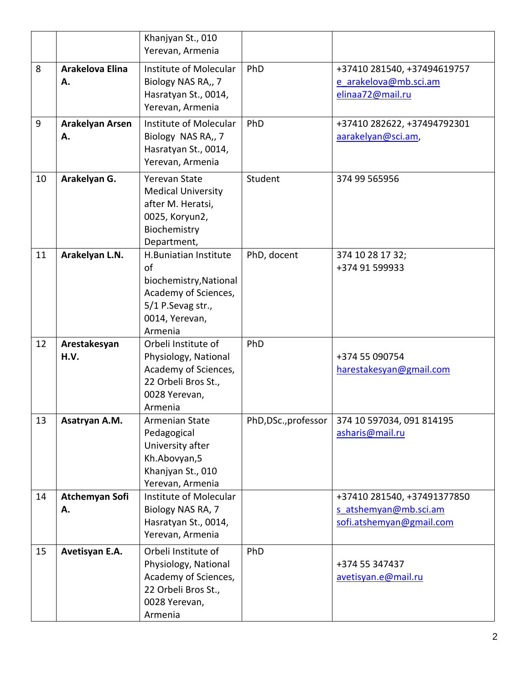|    |                              | Khanjyan St., 010<br>Yerevan, Armenia                                                                                           |                      |                                                                                  |
|----|------------------------------|---------------------------------------------------------------------------------------------------------------------------------|----------------------|----------------------------------------------------------------------------------|
| 8  | <b>Arakelova Elina</b><br>Α. | Institute of Molecular<br>Biology NAS RA,, 7<br>Hasratyan St., 0014,<br>Yerevan, Armenia                                        | PhD                  | +37410 281540, +37494619757<br>e arakelova@mb.sci.am<br>elinaa72@mail.ru         |
| 9  | <b>Arakelyan Arsen</b><br>Α. | Institute of Molecular<br>Biology NAS RA,, 7<br>Hasratyan St., 0014,<br>Yerevan, Armenia                                        | PhD                  | +37410 282622, +37494792301<br>aarakelyan@sci.am,                                |
| 10 | Arakelyan G.                 | <b>Yerevan State</b><br><b>Medical University</b><br>after M. Heratsi,<br>0025, Koryun2,<br>Biochemistry<br>Department,         | Student              | 374 99 565956                                                                    |
| 11 | Arakelyan L.N.               | H.Buniatian Institute<br>of<br>biochemistry, National<br>Academy of Sciences,<br>5/1 P.Sevag str.,<br>0014, Yerevan,<br>Armenia | PhD, docent          | 374 10 28 17 32;<br>+374 91 599933                                               |
| 12 | Arestakesyan<br>H.V.         | Orbeli Institute of<br>Physiology, National<br>Academy of Sciences,<br>22 Orbeli Bros St.,<br>0028 Yerevan,<br>Armenia          | PhD                  | +374 55 090754<br>harestakesyan@gmail.com                                        |
| 13 | Asatryan A.M.                | Armenian State<br>Pedagogical<br>University after<br>Kh.Abovyan,5<br>Khanjyan St., 010<br>Yerevan, Armenia                      | PhD, DSc., professor | 374 10 597034, 091 814195<br>asharis@mail.ru                                     |
| 14 | Atchemyan Sofi<br>Α.         | Institute of Molecular<br>Biology NAS RA, 7<br>Hasratyan St., 0014,<br>Yerevan, Armenia                                         |                      | +37410 281540, +37491377850<br>s atshemyan@mb.sci.am<br>sofi.atshemyan@gmail.com |
| 15 | Avetisyan E.A.               | Orbeli Institute of<br>Physiology, National<br>Academy of Sciences,<br>22 Orbeli Bros St.,<br>0028 Yerevan,<br>Armenia          | PhD                  | +374 55 347437<br>avetisyan.e@mail.ru                                            |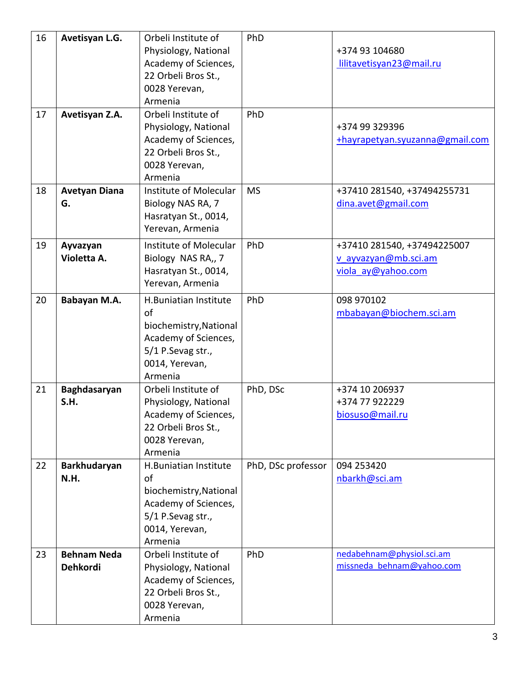| 16 | Avetisyan L.G.       | Orbeli Institute of    | PhD                |                                 |
|----|----------------------|------------------------|--------------------|---------------------------------|
|    |                      | Physiology, National   |                    | +374 93 104680                  |
|    |                      | Academy of Sciences,   |                    | lilitavetisyan23@mail.ru        |
|    |                      | 22 Orbeli Bros St.,    |                    |                                 |
|    |                      | 0028 Yerevan,          |                    |                                 |
|    |                      | Armenia                |                    |                                 |
| 17 | Avetisyan Z.A.       | Orbeli Institute of    | PhD                |                                 |
|    |                      | Physiology, National   |                    | +374 99 329396                  |
|    |                      | Academy of Sciences,   |                    | +hayrapetyan.syuzanna@gmail.com |
|    |                      | 22 Orbeli Bros St.,    |                    |                                 |
|    |                      | 0028 Yerevan,          |                    |                                 |
|    |                      | Armenia                |                    |                                 |
| 18 | <b>Avetyan Diana</b> | Institute of Molecular | <b>MS</b>          | +37410 281540, +37494255731     |
|    | G.                   | Biology NAS RA, 7      |                    | dina.avet@gmail.com             |
|    |                      | Hasratyan St., 0014,   |                    |                                 |
|    |                      |                        |                    |                                 |
|    |                      | Yerevan, Armenia       |                    |                                 |
| 19 | Ayvazyan             | Institute of Molecular | PhD                | +37410 281540, +37494225007     |
|    | Violetta A.          | Biology NAS RA,, 7     |                    | v ayvazyan@mb.sci.am            |
|    |                      | Hasratyan St., 0014,   |                    | viola ay@yahoo.com              |
|    |                      | Yerevan, Armenia       |                    |                                 |
| 20 | Babayan M.A.         | H.Buniatian Institute  | PhD                | 098 970102                      |
|    |                      | of                     |                    | mbabayan@biochem.sci.am         |
|    |                      | biochemistry, National |                    |                                 |
|    |                      | Academy of Sciences,   |                    |                                 |
|    |                      | 5/1 P.Sevag str.,      |                    |                                 |
|    |                      | 0014, Yerevan,         |                    |                                 |
|    |                      | Armenia                |                    |                                 |
| 21 | Baghdasaryan         | Orbeli Institute of    | PhD, DSc           | +374 10 206937                  |
|    | S.H.                 | Physiology, National   |                    | +374 77 922229                  |
|    |                      | Academy of Sciences    |                    |                                 |
|    |                      | 22 Orbeli Bros St.,    |                    | biosuso@mail.ru                 |
|    |                      | 0028 Yerevan,          |                    |                                 |
|    |                      | Armenia                |                    |                                 |
| 22 | Barkhudaryan         | H.Buniatian Institute  | PhD, DSc professor | 094 253420                      |
|    | N.H.                 | of                     |                    | nbarkh@sci.am                   |
|    |                      | biochemistry, National |                    |                                 |
|    |                      |                        |                    |                                 |
|    |                      | Academy of Sciences,   |                    |                                 |
|    |                      | 5/1 P.Sevag str.,      |                    |                                 |
|    |                      | 0014, Yerevan,         |                    |                                 |
|    |                      | Armenia                |                    |                                 |
| 23 | <b>Behnam Neda</b>   | Orbeli Institute of    | PhD                | nedabehnam@physiol.sci.am       |
|    | Dehkordi             | Physiology, National   |                    | missneda behnam@yahoo.com       |
|    |                      | Academy of Sciences,   |                    |                                 |
|    |                      | 22 Orbeli Bros St.,    |                    |                                 |
|    |                      | 0028 Yerevan,          |                    |                                 |
|    |                      | Armenia                |                    |                                 |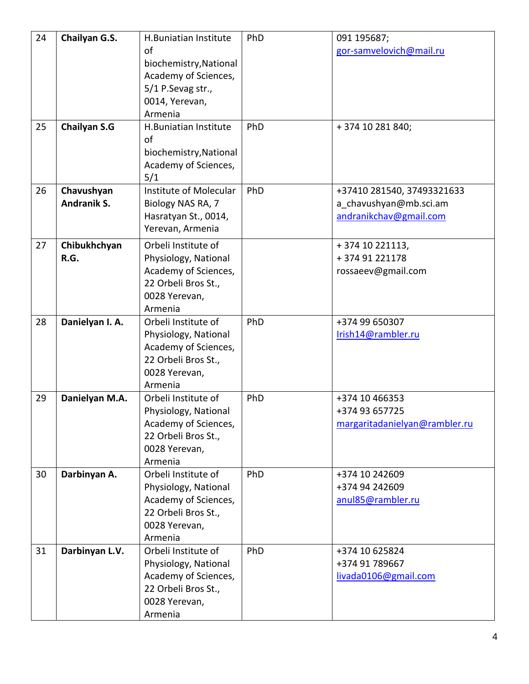| 24<br>25 | Chailyan G.S.<br><b>Chailyan S.G</b> | H.Buniatian Institute<br>of<br>biochemistry, National<br>Academy of Sciences,<br>5/1 P.Sevag str.,<br>0014, Yerevan,<br>Armenia<br>H.Buniatian Institute<br>of<br>biochemistry, National<br>Academy of Sciences,<br>5/1 | PhD<br>PhD | 091 195687;<br>gor-samvelovich@mail.ru<br>+374 10 281 840;                     |
|----------|--------------------------------------|-------------------------------------------------------------------------------------------------------------------------------------------------------------------------------------------------------------------------|------------|--------------------------------------------------------------------------------|
| 26       | Chavushyan<br>Andranik S.            | Institute of Molecular<br>Biology NAS RA, 7<br>Hasratyan St., 0014,<br>Yerevan, Armenia                                                                                                                                 | PhD        | +37410 281540, 37493321633<br>a chavushyan@mb.sci.am<br>andranikchav@gmail.com |
| 27       | Chibukhchyan<br>R.G.                 | Orbeli Institute of<br>Physiology, National<br>Academy of Sciences,<br>22 Orbeli Bros St.,<br>0028 Yerevan,<br>Armenia                                                                                                  |            | +374 10 221113,<br>+37491221178<br>rossaeev@gmail.com                          |
| 28       | Danielyan I. A.                      | Orbeli Institute of<br>Physiology, National<br>Academy of Sciences,<br>22 Orbeli Bros St.,<br>0028 Yerevan,<br>Armenia                                                                                                  | PhD        | +374 99 650307<br>Irish14@rambler.ru                                           |
| 29       | Danielyan M.A.                       | Orbeli Institute of<br>Physiology, National<br>Academy of Sciences,<br>22 Orbeli Bros St.,<br>0028 Yerevan,<br>Armenia                                                                                                  | PhD        | +374 10 466353<br>+374 93 657725<br>margaritadanielyan@rambler.ru              |
| 30       | Darbinyan A.                         | Orbeli Institute of<br>Physiology, National<br>Academy of Sciences,<br>22 Orbeli Bros St.,<br>0028 Yerevan,<br>Armenia                                                                                                  | PhD        | +374 10 242609<br>+374 94 242609<br>anul85@rambler.ru                          |
| 31       | Darbinyan L.V.                       | Orbeli Institute of<br>Physiology, National<br>Academy of Sciences,<br>22 Orbeli Bros St.,<br>0028 Yerevan,<br>Armenia                                                                                                  | PhD        | +374 10 625824<br>+374 91 789667<br>livada0106@gmail.com                       |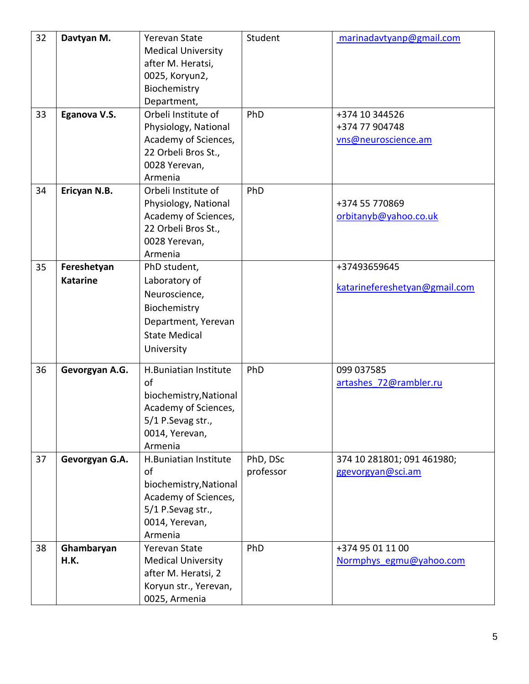| 32 | Davtyan M.      | Yerevan State<br><b>Medical University</b><br>after M. Heratsi, | Student   | marinadavtyanp@gmail.com      |
|----|-----------------|-----------------------------------------------------------------|-----------|-------------------------------|
|    |                 | 0025, Koryun2,                                                  |           |                               |
|    |                 | Biochemistry                                                    |           |                               |
|    |                 | Department,                                                     |           |                               |
| 33 | Eganova V.S.    | Orbeli Institute of                                             | PhD       | +374 10 344526                |
|    |                 | Physiology, National                                            |           | +374 77 904748                |
|    |                 | Academy of Sciences,                                            |           | vns@neuroscience.am           |
|    |                 | 22 Orbeli Bros St.,                                             |           |                               |
|    |                 | 0028 Yerevan,                                                   |           |                               |
|    |                 | Armenia                                                         |           |                               |
| 34 | Ericyan N.B.    | Orbeli Institute of                                             | PhD       |                               |
|    |                 | Physiology, National                                            |           | +374 55 770869                |
|    |                 | Academy of Sciences,                                            |           | orbitanyb@yahoo.co.uk         |
|    |                 | 22 Orbeli Bros St.,                                             |           |                               |
|    |                 | 0028 Yerevan,                                                   |           |                               |
|    |                 | Armenia                                                         |           |                               |
| 35 | Fereshetyan     | PhD student,                                                    |           | +37493659645                  |
|    | <b>Katarine</b> | Laboratory of                                                   |           |                               |
|    |                 | Neuroscience,                                                   |           | katarinefereshetyan@gmail.com |
|    |                 | Biochemistry                                                    |           |                               |
|    |                 |                                                                 |           |                               |
|    |                 | Department, Yerevan                                             |           |                               |
|    |                 | <b>State Medical</b>                                            |           |                               |
|    |                 | University                                                      |           |                               |
| 36 | Gevorgyan A.G.  | H.Buniatian Institute                                           | PhD       | 099 037585                    |
|    |                 | of                                                              |           | artashes 72@rambler.ru        |
|    |                 | biochemistry, National                                          |           |                               |
|    |                 | Academy of Sciences,                                            |           |                               |
|    |                 | 5/1 P.Sevag str.,                                               |           |                               |
|    |                 | 0014, Yerevan,                                                  |           |                               |
|    |                 | Armenia                                                         |           |                               |
| 37 | Gevorgyan G.A.  | H.Buniatian Institute                                           | PhD, DSc  | 374 10 281801; 091 461980;    |
|    |                 | of                                                              | professor | ggevorgyan@sci.am             |
|    |                 | biochemistry, National                                          |           |                               |
|    |                 | Academy of Sciences,                                            |           |                               |
|    |                 | 5/1 P.Sevag str.,                                               |           |                               |
|    |                 | 0014, Yerevan,                                                  |           |                               |
|    |                 | Armenia                                                         |           |                               |
| 38 | Ghambaryan      | Yerevan State                                                   | PhD       | +374 95 01 11 00              |
|    | H.K.            | <b>Medical University</b>                                       |           | Normphys egmu@yahoo.com       |
|    |                 | after M. Heratsi, 2                                             |           |                               |
|    |                 | Koryun str., Yerevan,                                           |           |                               |
|    |                 | 0025, Armenia                                                   |           |                               |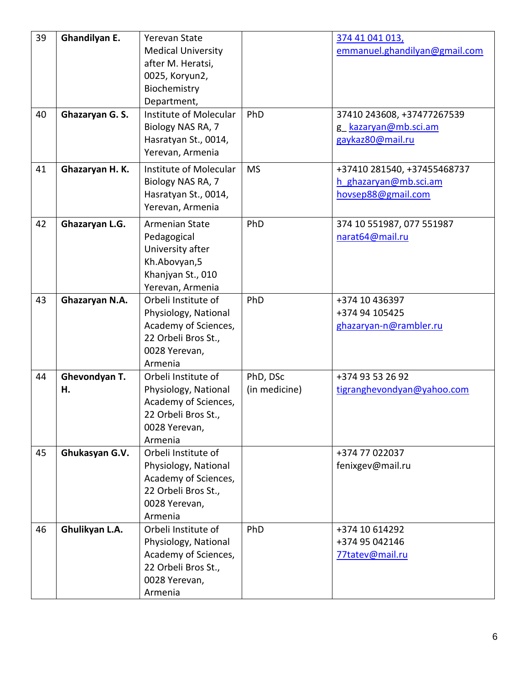| 39 | Ghandilyan E.       | Yerevan State<br><b>Medical University</b><br>after M. Heratsi,<br>0025, Koryun2,<br>Biochemistry<br>Department,       |                           | 374 41 041 013,<br>emmanuel.ghandilyan@gmail.com                           |
|----|---------------------|------------------------------------------------------------------------------------------------------------------------|---------------------------|----------------------------------------------------------------------------|
| 40 | Ghazaryan G. S.     | Institute of Molecular<br>Biology NAS RA, 7<br>Hasratyan St., 0014,<br>Yerevan, Armenia                                | PhD                       | 37410 243608, +37477267539<br>g kazaryan@mb.sci.am<br>gaykaz80@mail.ru     |
| 41 | Ghazaryan H.K.      | Institute of Molecular<br>Biology NAS RA, 7<br>Hasratyan St., 0014,<br>Yerevan, Armenia                                | <b>MS</b>                 | +37410 281540, +37455468737<br>h ghazaryan@mb.sci.am<br>hovsep88@gmail.com |
| 42 | Ghazaryan L.G.      | Armenian State<br>Pedagogical<br>University after<br>Kh.Abovyan,5<br>Khanjyan St., 010<br>Yerevan, Armenia             | PhD                       | 374 10 551987, 077 551987<br>narat64@mail.ru                               |
| 43 | Ghazaryan N.A.      | Orbeli Institute of<br>Physiology, National<br>Academy of Sciences,<br>22 Orbeli Bros St.,<br>0028 Yerevan,<br>Armenia | PhD                       | +374 10 436397<br>+374 94 105425<br>ghazaryan-n@rambler.ru                 |
| 44 | Ghevondyan T.<br>Н. | Orbeli Institute of<br>Physiology, National<br>Academy of Sciences,<br>22 Orbeli Bros St.<br>0028 Yerevan,<br>Armenia  | PhD, DSc<br>(in medicine) | +374 93 53 26 92<br>tigranghevondyan@yahoo.com                             |
| 45 | Ghukasyan G.V.      | Orbeli Institute of<br>Physiology, National<br>Academy of Sciences,<br>22 Orbeli Bros St.,<br>0028 Yerevan,<br>Armenia |                           | +374 77 022037<br>fenixgev@mail.ru                                         |
| 46 | Ghulikyan L.A.      | Orbeli Institute of<br>Physiology, National<br>Academy of Sciences,<br>22 Orbeli Bros St.,<br>0028 Yerevan,<br>Armenia | PhD                       | +374 10 614292<br>+374 95 042146<br>77tatev@mail.ru                        |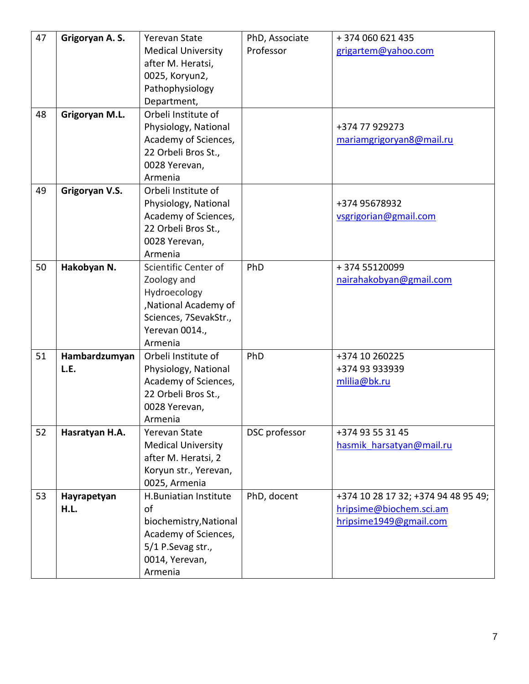| 47 | Grigoryan A.S. | <b>Yerevan State</b>      | PhD, Associate | +374 060 621 435                    |
|----|----------------|---------------------------|----------------|-------------------------------------|
|    |                | <b>Medical University</b> | Professor      | grigartem@yahoo.com                 |
|    |                | after M. Heratsi,         |                |                                     |
|    |                | 0025, Koryun2,            |                |                                     |
|    |                | Pathophysiology           |                |                                     |
|    |                | Department,               |                |                                     |
| 48 | Grigoryan M.L. | Orbeli Institute of       |                |                                     |
|    |                | Physiology, National      |                | +374 77 929273                      |
|    |                | Academy of Sciences,      |                | mariamgrigoryan8@mail.ru            |
|    |                | 22 Orbeli Bros St.,       |                |                                     |
|    |                | 0028 Yerevan,             |                |                                     |
|    |                | Armenia                   |                |                                     |
| 49 | Grigoryan V.S. | Orbeli Institute of       |                |                                     |
|    |                | Physiology, National      |                | +374 95678932                       |
|    |                | Academy of Sciences,      |                | vsgrigorian@gmail.com               |
|    |                | 22 Orbeli Bros St.,       |                |                                     |
|    |                | 0028 Yerevan,             |                |                                     |
|    |                | Armenia                   |                |                                     |
| 50 | Hakobyan N.    | Scientific Center of      | PhD            | +374 55120099                       |
|    |                | Zoology and               |                | nairahakobyan@gmail.com             |
|    |                | Hydroecology              |                |                                     |
|    |                | , National Academy of     |                |                                     |
|    |                | Sciences, 7SevakStr.,     |                |                                     |
|    |                | Yerevan 0014.,            |                |                                     |
|    |                | Armenia                   |                |                                     |
| 51 | Hambardzumyan  | Orbeli Institute of       | PhD            | +374 10 260225                      |
|    | L.E.           | Physiology, National      |                | +374 93 933939                      |
|    |                | Academy of Sciences,      |                | mlilia@bk.ru                        |
|    |                | 22 Orbeli Bros St.,       |                |                                     |
|    |                | 0028 Yerevan,             |                |                                     |
|    |                | Armenia                   |                |                                     |
| 52 | Hasratyan H.A. | Yerevan State             | DSC professor  | +374 93 55 31 45                    |
|    |                | <b>Medical University</b> |                | hasmik harsatyan@mail.ru            |
|    |                | after M. Heratsi, 2       |                |                                     |
|    |                | Koryun str., Yerevan,     |                |                                     |
|    |                | 0025, Armenia             |                |                                     |
| 53 | Hayrapetyan    | H.Buniatian Institute     | PhD, docent    | +374 10 28 17 32; +374 94 48 95 49; |
|    | H.L.           | of                        |                | hripsime@biochem.sci.am             |
|    |                | biochemistry, National    |                | hripsime1949@gmail.com              |
|    |                | Academy of Sciences,      |                |                                     |
|    |                | 5/1 P.Sevag str.,         |                |                                     |
|    |                | 0014, Yerevan,            |                |                                     |
|    |                | Armenia                   |                |                                     |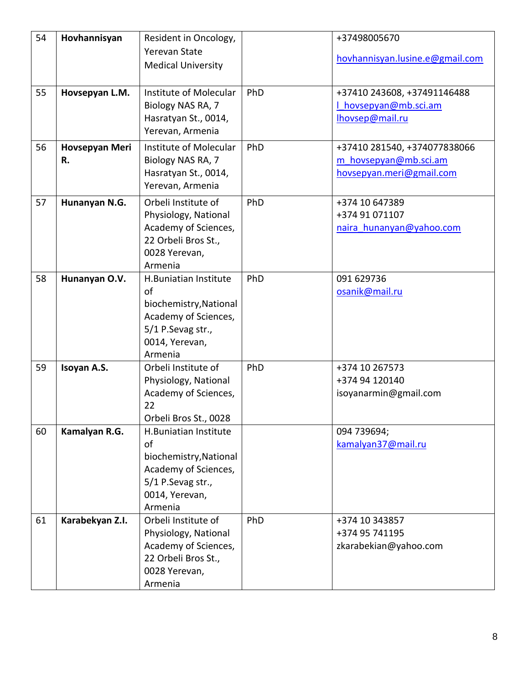| 54 | Hovhannisyan    | Resident in Oncology,                          |     | +37498005670                    |
|----|-----------------|------------------------------------------------|-----|---------------------------------|
|    |                 | <b>Yerevan State</b>                           |     | hovhannisyan.lusine.e@gmail.com |
|    |                 | <b>Medical University</b>                      |     |                                 |
| 55 | Hovsepyan L.M.  | Institute of Molecular                         | PhD | +37410 243608, +37491146488     |
|    |                 | Biology NAS RA, 7                              |     | I hovsepyan@mb.sci.am           |
|    |                 | Hasratyan St., 0014,                           |     | lhovsep@mail.ru                 |
|    |                 | Yerevan, Armenia                               |     |                                 |
| 56 | Hovsepyan Meri  | Institute of Molecular                         | PhD | +37410 281540, +374077838066    |
|    | R.              | Biology NAS RA, 7                              |     | m hovsepyan@mb.sci.am           |
|    |                 | Hasratyan St., 0014,                           |     | hovsepyan.meri@gmail.com        |
|    |                 | Yerevan, Armenia                               |     |                                 |
| 57 | Hunanyan N.G.   | Orbeli Institute of                            | PhD | +374 10 647389                  |
|    |                 | Physiology, National                           |     | +374 91 071107                  |
|    |                 | Academy of Sciences,                           |     | naira hunanyan@yahoo.com        |
|    |                 | 22 Orbeli Bros St.,                            |     |                                 |
|    |                 | 0028 Yerevan,                                  |     |                                 |
|    |                 | Armenia                                        |     |                                 |
| 58 | Hunanyan O.V.   | H.Buniatian Institute<br>of                    | PhD | 091 629736                      |
|    |                 | biochemistry, National                         |     | osanik@mail.ru                  |
|    |                 | Academy of Sciences,                           |     |                                 |
|    |                 | 5/1 P.Sevag str.,                              |     |                                 |
|    |                 | 0014, Yerevan,                                 |     |                                 |
|    |                 | Armenia                                        |     |                                 |
| 59 | Isoyan A.S.     | Orbeli Institute of                            | PhD | +374 10 267573                  |
|    |                 | Physiology, National                           |     | +374 94 120140                  |
|    |                 | Academy of Sciences,                           |     | isoyanarmin@gmail.com           |
|    |                 | 22                                             |     |                                 |
|    |                 | Orbeli Bros St., 0028                          |     |                                 |
| 60 | Kamalyan R.G.   | H.Buniatian Institute                          |     | 094 739694;                     |
|    |                 | of                                             |     | kamalyan37@mail.ru              |
|    |                 | biochemistry, National<br>Academy of Sciences, |     |                                 |
|    |                 | 5/1 P.Sevag str.,                              |     |                                 |
|    |                 | 0014, Yerevan,                                 |     |                                 |
|    |                 | Armenia                                        |     |                                 |
| 61 | Karabekyan Z.I. | Orbeli Institute of                            | PhD | +374 10 343857                  |
|    |                 | Physiology, National                           |     | +374 95 741195                  |
|    |                 | Academy of Sciences,                           |     | zkarabekian@yahoo.com           |
|    |                 | 22 Orbeli Bros St.,                            |     |                                 |
|    |                 | 0028 Yerevan,                                  |     |                                 |
|    |                 | Armenia                                        |     |                                 |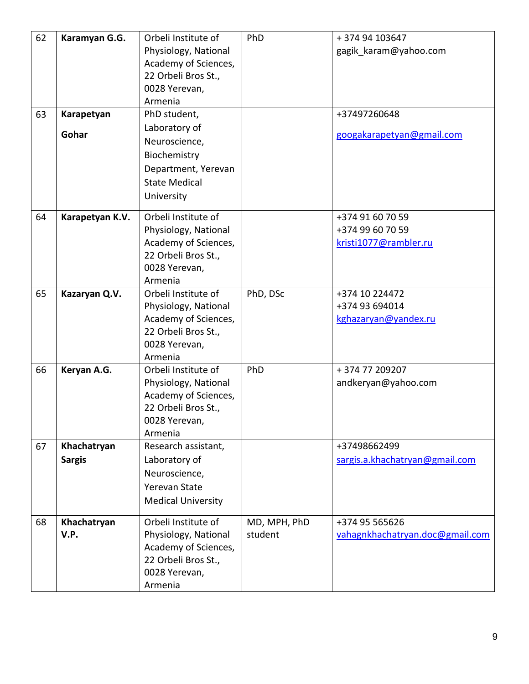| 62 | Karamyan G.G.   | Orbeli Institute of       | PhD          | +374 94 103647                  |
|----|-----------------|---------------------------|--------------|---------------------------------|
|    |                 | Physiology, National      |              | gagik_karam@yahoo.com           |
|    |                 | Academy of Sciences,      |              |                                 |
|    |                 | 22 Orbeli Bros St.,       |              |                                 |
|    |                 | 0028 Yerevan,             |              |                                 |
|    |                 | Armenia                   |              |                                 |
| 63 | Karapetyan      | PhD student,              |              | +37497260648                    |
|    |                 | Laboratory of             |              |                                 |
|    | Gohar           | Neuroscience,             |              | googakarapetyan@gmail.com       |
|    |                 | Biochemistry              |              |                                 |
|    |                 | Department, Yerevan       |              |                                 |
|    |                 | <b>State Medical</b>      |              |                                 |
|    |                 |                           |              |                                 |
|    |                 | University                |              |                                 |
| 64 | Karapetyan K.V. | Orbeli Institute of       |              | +374 91 60 70 59                |
|    |                 | Physiology, National      |              | +374 99 60 70 59                |
|    |                 | Academy of Sciences,      |              | kristi1077@rambler.ru           |
|    |                 | 22 Orbeli Bros St.,       |              |                                 |
|    |                 | 0028 Yerevan,             |              |                                 |
|    |                 | Armenia                   |              |                                 |
| 65 | Kazaryan Q.V.   | Orbeli Institute of       | PhD, DSc     | +374 10 224472                  |
|    |                 | Physiology, National      |              | +374 93 694014                  |
|    |                 | Academy of Sciences,      |              | kghazaryan@yandex.ru            |
|    |                 | 22 Orbeli Bros St.,       |              |                                 |
|    |                 | 0028 Yerevan,             |              |                                 |
|    |                 | Armenia                   |              |                                 |
| 66 | Keryan A.G.     | Orbeli Institute of       | PhD          | +37477209207                    |
|    |                 | Physiology, National      |              | andkeryan@yahoo.com             |
|    |                 | Academy of Sciences,      |              |                                 |
|    |                 | 22 Orbeli Bros St.,       |              |                                 |
|    |                 | 0028 Yerevan,             |              |                                 |
|    |                 | Armenia                   |              |                                 |
| 67 | Khachatryan     | Research assistant,       |              | +37498662499                    |
|    | <b>Sargis</b>   | Laboratory of             |              | sargis.a.khachatryan@gmail.com  |
|    |                 | Neuroscience,             |              |                                 |
|    |                 | Yerevan State             |              |                                 |
|    |                 | <b>Medical University</b> |              |                                 |
|    |                 |                           |              |                                 |
| 68 | Khachatryan     | Orbeli Institute of       | MD, MPH, PhD | +374 95 565626                  |
|    | V.P.            | Physiology, National      | student      | vahagnkhachatryan.doc@gmail.com |
|    |                 | Academy of Sciences,      |              |                                 |
|    |                 | 22 Orbeli Bros St.,       |              |                                 |
|    |                 | 0028 Yerevan,             |              |                                 |
|    |                 | Armenia                   |              |                                 |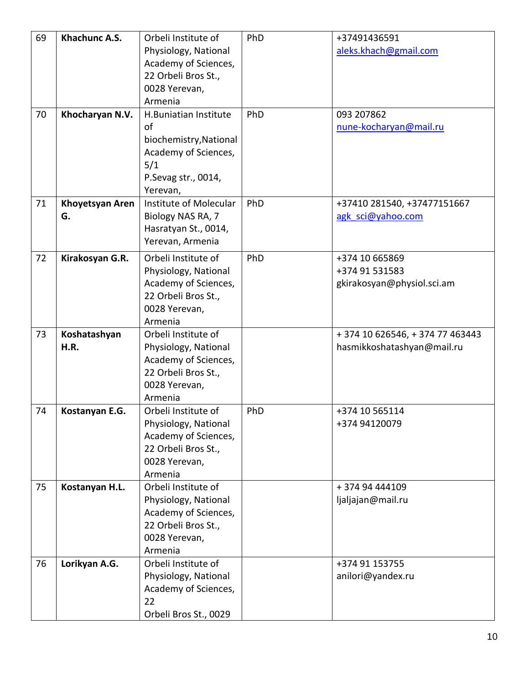| 69 | Khachunc A.S.         | Orbeli Institute of<br>Physiology, National<br>Academy of Sciences,<br>22 Orbeli Bros St.,<br>0028 Yerevan,                        | PhD | +37491436591<br>aleks.khach@gmail.com                          |
|----|-----------------------|------------------------------------------------------------------------------------------------------------------------------------|-----|----------------------------------------------------------------|
| 70 | Khocharyan N.V.       | Armenia<br>H.Buniatian Institute<br>of<br>biochemistry, National<br>Academy of Sciences,<br>5/1<br>P.Sevag str., 0014,<br>Yerevan, | PhD | 093 207862<br>nune-kocharyan@mail.ru                           |
| 71 | Khoyetsyan Aren<br>G. | Institute of Molecular<br>Biology NAS RA, 7<br>Hasratyan St., 0014,<br>Yerevan, Armenia                                            | PhD | +37410 281540, +37477151667<br>agk sci@yahoo.com               |
| 72 | Kirakosyan G.R.       | Orbeli Institute of<br>Physiology, National<br>Academy of Sciences,<br>22 Orbeli Bros St.,<br>0028 Yerevan,<br>Armenia             | PhD | +374 10 665869<br>+374 91 531583<br>gkirakosyan@physiol.sci.am |
| 73 | Koshatashyan<br>H.R.  | Orbeli Institute of<br>Physiology, National<br>Academy of Sciences,<br>22 Orbeli Bros St.,<br>0028 Yerevan,<br>Armenia             |     | + 374 10 626546, + 374 77 463443<br>hasmikkoshatashyan@mail.ru |
| 74 | Kostanyan E.G.        | Orbeli Institute of<br>Physiology, National<br>Academy of Sciences,<br>22 Orbeli Bros St.,<br>0028 Yerevan,<br>Armenia             | PhD | +374 10 565114<br>+374 94120079                                |
| 75 | Kostanyan H.L.        | Orbeli Institute of<br>Physiology, National<br>Academy of Sciences,<br>22 Orbeli Bros St.,<br>0028 Yerevan,<br>Armenia             |     | +374 94 444109<br>ljaljajan@mail.ru                            |
| 76 | Lorikyan A.G.         | Orbeli Institute of<br>Physiology, National<br>Academy of Sciences,<br>22<br>Orbeli Bros St., 0029                                 |     | +374 91 153755<br>anilori@yandex.ru                            |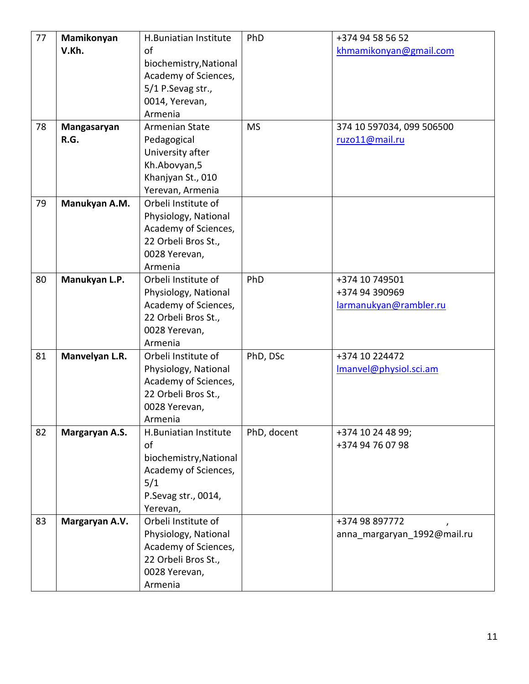| 77 | Mamikonyan     | H.Buniatian Institute  | PhD         | +374 94 58 56 52            |
|----|----------------|------------------------|-------------|-----------------------------|
|    | V.Kh.          | of                     |             | khmamikonyan@gmail.com      |
|    |                | biochemistry, National |             |                             |
|    |                | Academy of Sciences,   |             |                             |
|    |                | 5/1 P.Sevag str.,      |             |                             |
|    |                | 0014, Yerevan,         |             |                             |
|    |                |                        |             |                             |
|    |                | Armenia                |             |                             |
| 78 | Mangasaryan    | Armenian State         | <b>MS</b>   | 374 10 597034, 099 506500   |
|    | R.G.           | Pedagogical            |             | ruzo11@mail.ru              |
|    |                | University after       |             |                             |
|    |                | Kh.Abovyan,5           |             |                             |
|    |                | Khanjyan St., 010      |             |                             |
|    |                | Yerevan, Armenia       |             |                             |
| 79 | Manukyan A.M.  | Orbeli Institute of    |             |                             |
|    |                | Physiology, National   |             |                             |
|    |                | Academy of Sciences,   |             |                             |
|    |                | 22 Orbeli Bros St.,    |             |                             |
|    |                | 0028 Yerevan,          |             |                             |
|    |                | Armenia                |             |                             |
| 80 | Manukyan L.P.  | Orbeli Institute of    | PhD         | +374 10 749501              |
|    |                |                        |             | +374 94 390969              |
|    |                | Physiology, National   |             |                             |
|    |                | Academy of Sciences,   |             | larmanukyan@rambler.ru      |
|    |                | 22 Orbeli Bros St.,    |             |                             |
|    |                | 0028 Yerevan,          |             |                             |
|    |                | Armenia                |             |                             |
| 81 | Manvelyan L.R. | Orbeli Institute of    | PhD, DSc    | +374 10 224472              |
|    |                | Physiology, National   |             | Imanvel@physiol.sci.am      |
|    |                | Academy of Sciences,   |             |                             |
|    |                | 22 Orbeli Bros St.,    |             |                             |
|    |                | 0028 Yerevan,          |             |                             |
|    |                | Armenia                |             |                             |
| 82 | Margaryan A.S. | H.Buniatian Institute  | PhD, docent | +374 10 24 48 99;           |
|    |                | of                     |             | +374 94 76 07 98            |
|    |                | biochemistry, National |             |                             |
|    |                | Academy of Sciences,   |             |                             |
|    |                | 5/1                    |             |                             |
|    |                | P.Sevag str., 0014,    |             |                             |
|    |                | Yerevan,               |             |                             |
| 83 | Margaryan A.V. | Orbeli Institute of    |             | +374 98 897772              |
|    |                |                        |             |                             |
|    |                | Physiology, National   |             | anna_margaryan_1992@mail.ru |
|    |                | Academy of Sciences,   |             |                             |
|    |                | 22 Orbeli Bros St.,    |             |                             |
|    |                | 0028 Yerevan,          |             |                             |
|    |                | Armenia                |             |                             |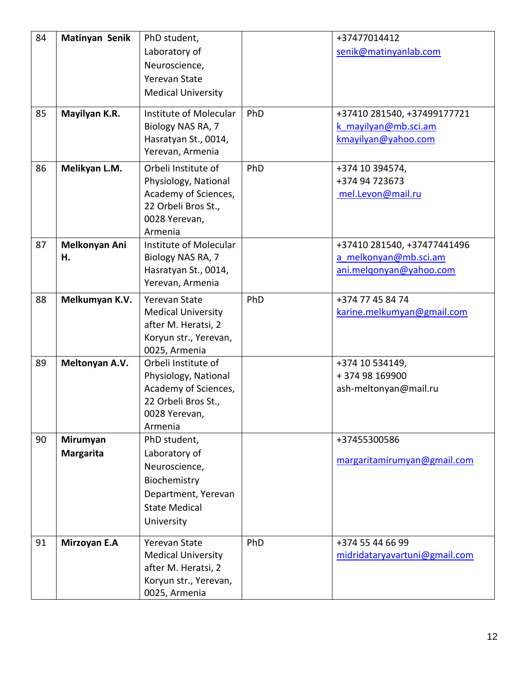| 84 | Matinyan Senik   | PhD student,              |     | +37477014412                  |
|----|------------------|---------------------------|-----|-------------------------------|
|    |                  | Laboratory of             |     | senik@matinyanlab.com         |
|    |                  | Neuroscience,             |     |                               |
|    |                  | Yerevan State             |     |                               |
|    |                  | <b>Medical University</b> |     |                               |
| 85 | Mayilyan K.R.    | Institute of Molecular    | PhD | +37410 281540, +37499177721   |
|    |                  | Biology NAS RA, 7         |     | k mayilyan@mb.sci.am          |
|    |                  | Hasratyan St., 0014,      |     | kmayilyan@yahoo.com           |
|    |                  | Yerevan, Armenia          |     |                               |
| 86 | Melikyan L.M.    | Orbeli Institute of       | PhD | +374 10 394574,               |
|    |                  | Physiology, National      |     | +374 94 723673                |
|    |                  | Academy of Sciences,      |     | mel.Levon@mail.ru             |
|    |                  | 22 Orbeli Bros St.,       |     |                               |
|    |                  | 0028 Yerevan,             |     |                               |
|    |                  | Armenia                   |     |                               |
| 87 | Melkonyan Ani    | Institute of Molecular    |     | +37410 281540, +37477441496   |
|    | н.               | Biology NAS RA, 7         |     | a melkonyan@mb.sci.am         |
|    |                  | Hasratyan St., 0014,      |     | ani.melgonyan@yahoo.com       |
|    |                  | Yerevan, Armenia          |     |                               |
| 88 | Melkumyan K.V.   | Yerevan State             | PhD | +374 77 45 84 74              |
|    |                  | <b>Medical University</b> |     | karine.melkumyan@gmail.com    |
|    |                  | after M. Heratsi, 2       |     |                               |
|    |                  | Koryun str., Yerevan,     |     |                               |
|    |                  | 0025, Armenia             |     |                               |
| 89 | Meltonyan A.V.   | Orbeli Institute of       |     | +374 10 534149,               |
|    |                  | Physiology, National      |     | +374 98 169900                |
|    |                  | Academy of Sciences,      |     | ash-meltonyan@mail.ru         |
|    |                  | 22 Orbeli Bros St.,       |     |                               |
|    |                  | 0028 Yerevan,             |     |                               |
|    |                  | Armenia                   |     |                               |
| 90 | Mirumyan         | PhD student,              |     | +37455300586                  |
|    | <b>Margarita</b> | Laboratory of             |     | margaritamirumyan@gmail.com   |
|    |                  | Neuroscience,             |     |                               |
|    |                  | Biochemistry              |     |                               |
|    |                  | Department, Yerevan       |     |                               |
|    |                  | <b>State Medical</b>      |     |                               |
|    |                  | University                |     |                               |
| 91 | Mirzoyan E.A     | Yerevan State             | PhD | +374 55 44 66 99              |
|    |                  | <b>Medical University</b> |     | midridataryavartuni@gmail.com |
|    |                  | after M. Heratsi, 2       |     |                               |
|    |                  | Koryun str., Yerevan,     |     |                               |
|    |                  | 0025, Armenia             |     |                               |
|    |                  |                           |     |                               |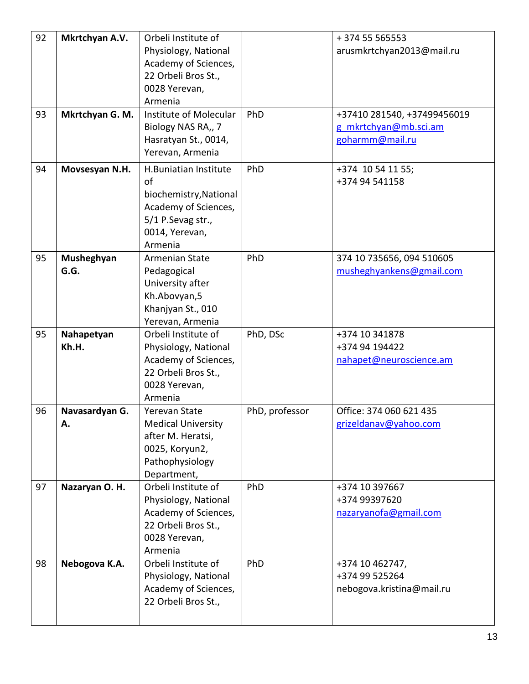| 92<br>93 | Mkrtchyan A.V.<br>Mkrtchyan G. M. | Orbeli Institute of<br>Physiology, National<br>Academy of Sciences,<br>22 Orbeli Bros St.,<br>0028 Yerevan,<br>Armenia<br>Institute of Molecular<br>Biology NAS RA,, 7<br>Hasratyan St., 0014,<br>Yerevan, Armenia | PhD            | +374 55 565553<br>arusmkrtchyan2013@mail.ru<br>+37410 281540, +37499456019<br>g mkrtchyan@mb.sci.am<br>goharmm@mail.ru |
|----------|-----------------------------------|--------------------------------------------------------------------------------------------------------------------------------------------------------------------------------------------------------------------|----------------|------------------------------------------------------------------------------------------------------------------------|
| 94       | Movsesyan N.H.                    | H.Buniatian Institute<br>of<br>biochemistry, National<br>Academy of Sciences,<br>5/1 P.Sevag str.,<br>0014, Yerevan,<br>Armenia                                                                                    | PhD            | +374 10 54 11 55;<br>+374 94 541158                                                                                    |
| 95       | Musheghyan<br>G.G.                | Armenian State<br>Pedagogical<br>University after<br>Kh.Abovyan,5<br>Khanjyan St., 010<br>Yerevan, Armenia                                                                                                         | PhD            | 374 10 735656, 094 510605<br>musheghyankens@gmail.com                                                                  |
| 95       | Nahapetyan<br>Kh.H.               | Orbeli Institute of<br>Physiology, National<br>Academy of Sciences,<br>22 Orbeli Bros St.,<br>0028 Yerevan,<br>Armenia                                                                                             | PhD, DSc       | +374 10 341878<br>+374 94 194422<br>nahapet@neuroscience.am                                                            |
| 96       | Navasardyan G.<br>А.              | <b>Yerevan State</b><br><b>Medical University</b><br>after M. Heratsi,<br>0025, Koryun2,<br>Pathophysiology<br>Department,                                                                                         | PhD, professor | Office: 374 060 621 435<br>grizeldanav@yahoo.com                                                                       |
| 97       | Nazaryan O. H.                    | Orbeli Institute of<br>Physiology, National<br>Academy of Sciences,<br>22 Orbeli Bros St.,<br>0028 Yerevan,<br>Armenia                                                                                             | PhD            | +374 10 397667<br>+374 99397620<br>nazaryanofa@gmail.com                                                               |
| 98       | Nebogova K.A.                     | Orbeli Institute of<br>Physiology, National<br>Academy of Sciences,<br>22 Orbeli Bros St.,                                                                                                                         | PhD            | +374 10 462747,<br>+374 99 525264<br>nebogova.kristina@mail.ru                                                         |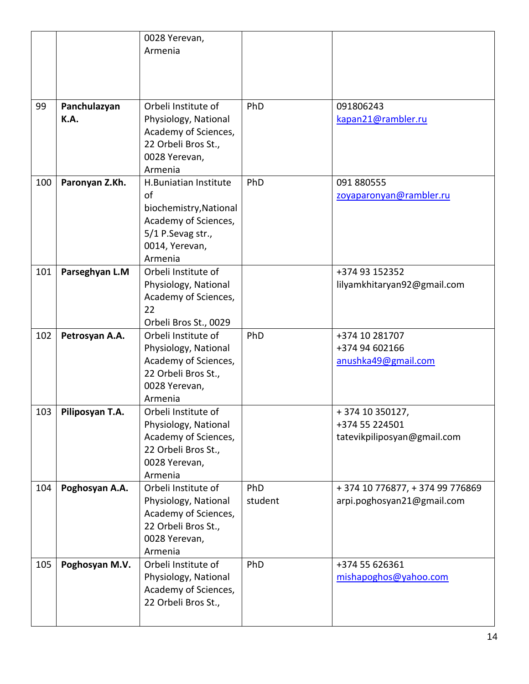|     |                      | 0028 Yerevan,<br>Armenia                                                                                                        |                |                                                                  |
|-----|----------------------|---------------------------------------------------------------------------------------------------------------------------------|----------------|------------------------------------------------------------------|
|     |                      |                                                                                                                                 |                |                                                                  |
| 99  | Panchulazyan<br>K.A. | Orbeli Institute of<br>Physiology, National<br>Academy of Sciences,<br>22 Orbeli Bros St.,<br>0028 Yerevan,<br>Armenia          | PhD            | 091806243<br>kapan21@rambler.ru                                  |
| 100 | Paronyan Z.Kh.       | H.Buniatian Institute<br>of<br>biochemistry, National<br>Academy of Sciences,<br>5/1 P.Sevag str.,<br>0014, Yerevan,<br>Armenia | PhD            | 091 880555<br>zovaparonyan@rambler.ru                            |
| 101 | Parseghyan L.M       | Orbeli Institute of<br>Physiology, National<br>Academy of Sciences,<br>22<br>Orbeli Bros St., 0029                              |                | +374 93 152352<br>lilyamkhitaryan92@gmail.com                    |
| 102 | Petrosyan A.A.       | Orbeli Institute of<br>Physiology, National<br>Academy of Sciences,<br>22 Orbeli Bros St.,<br>0028 Yerevan,<br>Armenia          | PhD            | +374 10 281707<br>+374 94 602166<br>anushka49@gmail.com          |
| 103 | Piliposyan T.A.      | Orbeli Institute of<br>Physiology, National<br>Academy of Sciences,<br>22 Orbeli Bros St.,<br>0028 Yerevan,<br>Armenia          |                | +374 10 350127,<br>+374 55 224501<br>tatevikpiliposyan@gmail.com |
| 104 | Poghosyan A.A.       | Orbeli Institute of<br>Physiology, National<br>Academy of Sciences,<br>22 Orbeli Bros St.,<br>0028 Yerevan,<br>Armenia          | PhD<br>student | +374 10 776877, +374 99 776869<br>arpi.poghosyan21@gmail.com     |
| 105 | Poghosyan M.V.       | Orbeli Institute of<br>Physiology, National<br>Academy of Sciences,<br>22 Orbeli Bros St.,                                      | PhD            | +374 55 626361<br>mishapoghos@yahoo.com                          |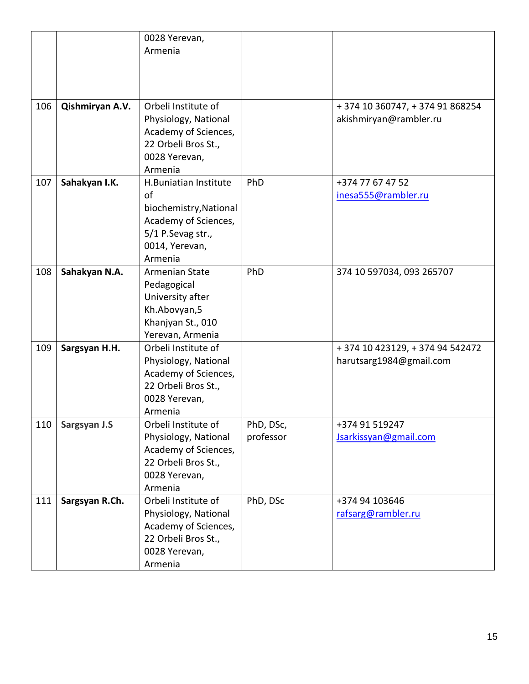|     |                 | 0028 Yerevan,          |           |                                  |
|-----|-----------------|------------------------|-----------|----------------------------------|
|     |                 | Armenia                |           |                                  |
|     |                 |                        |           |                                  |
|     |                 |                        |           |                                  |
|     |                 |                        |           |                                  |
|     |                 |                        |           |                                  |
| 106 | Qishmiryan A.V. | Orbeli Institute of    |           | + 374 10 360747, + 374 91 868254 |
|     |                 | Physiology, National   |           | akishmiryan@rambler.ru           |
|     |                 | Academy of Sciences,   |           |                                  |
|     |                 | 22 Orbeli Bros St.,    |           |                                  |
|     |                 | 0028 Yerevan,          |           |                                  |
|     |                 | Armenia                |           |                                  |
| 107 | Sahakyan I.K.   | H.Buniatian Institute  | PhD       | +374 77 67 47 52                 |
|     |                 | of                     |           | inesa555@rambler.ru              |
|     |                 | biochemistry, National |           |                                  |
|     |                 | Academy of Sciences,   |           |                                  |
|     |                 | 5/1 P.Sevag str.,      |           |                                  |
|     |                 | 0014, Yerevan,         |           |                                  |
|     |                 | Armenia                |           |                                  |
| 108 | Sahakyan N.A.   | Armenian State         | PhD       | 374 10 597034, 093 265707        |
|     |                 | Pedagogical            |           |                                  |
|     |                 | University after       |           |                                  |
|     |                 | Kh.Abovyan,5           |           |                                  |
|     |                 | Khanjyan St., 010      |           |                                  |
|     |                 | Yerevan, Armenia       |           |                                  |
| 109 | Sargsyan H.H.   | Orbeli Institute of    |           | + 374 10 423129, + 374 94 542472 |
|     |                 | Physiology, National   |           | harutsarg1984@gmail.com          |
|     |                 | Academy of Sciences,   |           |                                  |
|     |                 | 22 Orbeli Bros St.,    |           |                                  |
|     |                 | 0028 Yerevan,          |           |                                  |
|     |                 | Armenia                |           |                                  |
| 110 | Sargsyan J.S    | Orbeli Institute of    | PhD, DSc, | +374 91 519247                   |
|     |                 | Physiology, National   | professor | Jsarkissyan@gmail.com            |
|     |                 | Academy of Sciences,   |           |                                  |
|     |                 | 22 Orbeli Bros St.,    |           |                                  |
|     |                 | 0028 Yerevan,          |           |                                  |
|     |                 | Armenia                |           |                                  |
| 111 | Sargsyan R.Ch.  | Orbeli Institute of    | PhD, DSc  | +374 94 103646                   |
|     |                 | Physiology, National   |           | rafsarg@rambler.ru               |
|     |                 | Academy of Sciences,   |           |                                  |
|     |                 | 22 Orbeli Bros St.,    |           |                                  |
|     |                 | 0028 Yerevan,          |           |                                  |
|     |                 | Armenia                |           |                                  |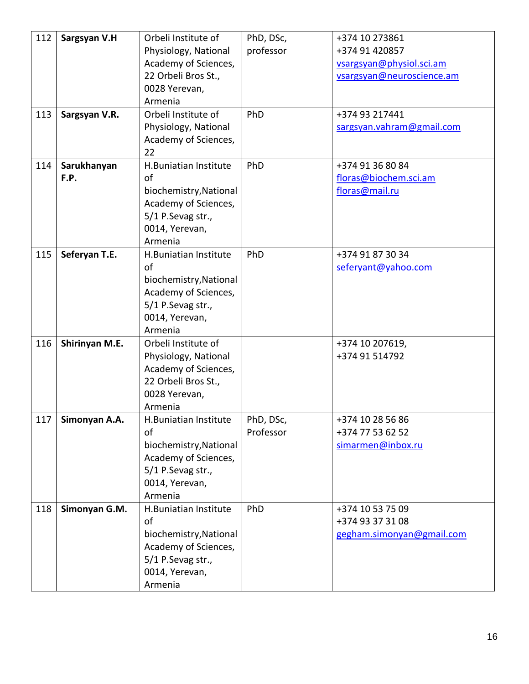| 112 | Sargsyan V.H   | Orbeli Institute of    | PhD, DSc, | +374 10 273861            |
|-----|----------------|------------------------|-----------|---------------------------|
|     |                | Physiology, National   | professor | +374 91 420857            |
|     |                | Academy of Sciences,   |           | vsargsyan@physiol.sci.am  |
|     |                | 22 Orbeli Bros St.,    |           | vsargsyan@neuroscience.am |
|     |                | 0028 Yerevan,          |           |                           |
|     |                | Armenia                |           |                           |
| 113 | Sargsyan V.R.  | Orbeli Institute of    | PhD       | +374 93 217441            |
|     |                | Physiology, National   |           | sargsyan.vahram@gmail.com |
|     |                | Academy of Sciences,   |           |                           |
|     |                | 22                     |           |                           |
| 114 | Sarukhanyan    | H.Buniatian Institute  | PhD       | +374 91 36 80 84          |
|     | F.P.           | of                     |           | floras@biochem.sci.am     |
|     |                | biochemistry, National |           | floras@mail.ru            |
|     |                | Academy of Sciences,   |           |                           |
|     |                | 5/1 P.Sevag str.,      |           |                           |
|     |                | 0014, Yerevan,         |           |                           |
|     |                | Armenia                |           |                           |
| 115 | Seferyan T.E.  | H.Buniatian Institute  | PhD       | +374 91 87 30 34          |
|     |                | of                     |           | seferyant@yahoo.com       |
|     |                | biochemistry, National |           |                           |
|     |                | Academy of Sciences,   |           |                           |
|     |                | 5/1 P.Sevag str.,      |           |                           |
|     |                | 0014, Yerevan,         |           |                           |
|     |                | Armenia                |           |                           |
| 116 | Shirinyan M.E. | Orbeli Institute of    |           | +374 10 207619,           |
|     |                | Physiology, National   |           | +374 91 514792            |
|     |                | Academy of Sciences,   |           |                           |
|     |                | 22 Orbeli Bros St.,    |           |                           |
|     |                | 0028 Yerevan,          |           |                           |
|     |                | Armenia                |           |                           |
| 117 | Simonyan A.A.  | H.Buniatian Institute  | PhD, DSc, | +374 10 28 56 86          |
|     |                | of                     | Professor | +374 77 53 62 52          |
|     |                |                        |           | simarmen@inbox.ru         |
|     |                | biochemistry, National |           |                           |
|     |                | Academy of Sciences,   |           |                           |
|     |                | 5/1 P.Sevag str.,      |           |                           |
|     |                | 0014, Yerevan,         |           |                           |
|     |                | Armenia                |           |                           |
| 118 | Simonyan G.M.  | H.Buniatian Institute  | PhD       | +374 10 53 75 09          |
|     |                | of                     |           | +374 93 37 31 08          |
|     |                | biochemistry, National |           | gegham.simonyan@gmail.com |
|     |                | Academy of Sciences,   |           |                           |
|     |                | 5/1 P.Sevag str.,      |           |                           |
|     |                | 0014, Yerevan,         |           |                           |
|     |                | Armenia                |           |                           |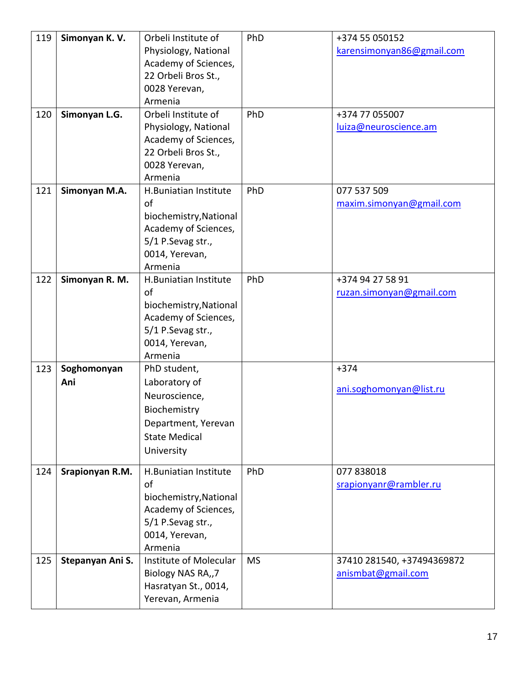| 119<br>120 | Simonyan K.V.<br>Simonyan L.G. | Orbeli Institute of<br>Physiology, National<br>Academy of Sciences,<br>22 Orbeli Bros St.,<br>0028 Yerevan,<br>Armenia<br>Orbeli Institute of | PhD<br>PhD | +374 55 050152<br>karensimonyan86@gmail.com<br>+374 77 055007 |
|------------|--------------------------------|-----------------------------------------------------------------------------------------------------------------------------------------------|------------|---------------------------------------------------------------|
|            |                                | Physiology, National<br>Academy of Sciences,<br>22 Orbeli Bros St.,<br>0028 Yerevan,<br>Armenia                                               |            | luiza@neuroscience.am                                         |
| 121        | Simonyan M.A.                  | H.Buniatian Institute<br>of<br>biochemistry, National<br>Academy of Sciences,<br>5/1 P.Sevag str.,<br>0014, Yerevan,<br>Armenia               | PhD        | 077 537 509<br>maxim.simonyan@gmail.com                       |
| 122        | Simonyan R. M.                 | H.Buniatian Institute<br>of<br>biochemistry, National<br>Academy of Sciences,<br>5/1 P.Sevag str.,<br>0014, Yerevan,<br>Armenia               | PhD        | +374 94 27 58 91<br>ruzan.simonyan@gmail.com                  |
| 123        | Soghomonyan<br>Ani             | PhD student,<br>Laboratory of<br>Neuroscience,<br>Biochemistry<br>Department, Yerevan<br><b>State Medical</b><br>University                   |            | $+374$<br>ani.soghomonyan@list.ru                             |
| 124        | Srapionyan R.M.                | H.Buniatian Institute<br>of<br>biochemistry, National<br>Academy of Sciences,<br>5/1 P.Sevag str.,<br>0014, Yerevan,<br>Armenia               | PhD        | 077 838018<br>srapionyanr@rambler.ru                          |
| 125        | Stepanyan Ani S.               | Institute of Molecular<br>Biology NAS RA,,7<br>Hasratyan St., 0014,<br>Yerevan, Armenia                                                       | <b>MS</b>  | 37410 281540, +37494369872<br>anismbat@gmail.com              |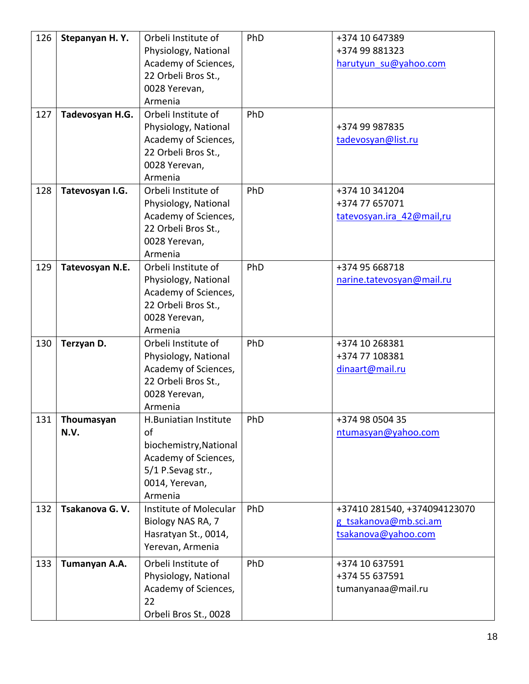| 126<br>127 | Stepanyan H.Y.<br>Tadevosyan H.G. | Orbeli Institute of<br>Physiology, National<br>Academy of Sciences,<br>22 Orbeli Bros St.,<br>0028 Yerevan,<br>Armenia<br>Orbeli Institute of<br>Physiology, National | PhD<br>PhD | +374 10 647389<br>+374 99 881323<br>harutyun su@yahoo.com<br>+374 99 987835  |
|------------|-----------------------------------|-----------------------------------------------------------------------------------------------------------------------------------------------------------------------|------------|------------------------------------------------------------------------------|
|            |                                   | Academy of Sciences,<br>22 Orbeli Bros St.,<br>0028 Yerevan,<br>Armenia                                                                                               |            | tadevosyan@list.ru                                                           |
| 128        | Tatevosyan I.G.                   | Orbeli Institute of<br>Physiology, National<br>Academy of Sciences,<br>22 Orbeli Bros St.,<br>0028 Yerevan,<br>Armenia                                                | PhD        | +374 10 341204<br>+374 77 657071<br>tatevosyan.ira 42@mail,ru                |
| 129        | Tatevosyan N.E.                   | Orbeli Institute of<br>Physiology, National<br>Academy of Sciences,<br>22 Orbeli Bros St.,<br>0028 Yerevan,<br>Armenia                                                | PhD        | +374 95 668718<br>narine.tatevosyan@mail.ru                                  |
| 130        | Terzyan D.                        | Orbeli Institute of<br>Physiology, National<br>Academy of Sciences,<br>22 Orbeli Bros St.,<br>0028 Yerevan,<br>Armenia                                                | PhD        | +374 10 268381<br>+374 77 108381<br>dinaart@mail.ru                          |
| 131        | Thoumasyan<br>N.V.                | H.Buniatian Institute<br>of<br>biochemistry, National<br>Academy of Sciences,<br>5/1 P.Sevag str.,<br>0014, Yerevan,<br>Armenia                                       | PhD        | +374 98 0504 35<br>ntumasyan@yahoo.com                                       |
| 132        | Tsakanova G.V.                    | Institute of Molecular<br>Biology NAS RA, 7<br>Hasratyan St., 0014,<br>Yerevan, Armenia                                                                               | PhD        | +37410 281540, +374094123070<br>g tsakanova@mb.sci.am<br>tsakanova@yahoo.com |
| 133        | Tumanyan A.A.                     | Orbeli Institute of<br>Physiology, National<br>Academy of Sciences,<br>22<br>Orbeli Bros St., 0028                                                                    | PhD        | +374 10 637591<br>+374 55 637591<br>tumanyanaa@mail.ru                       |